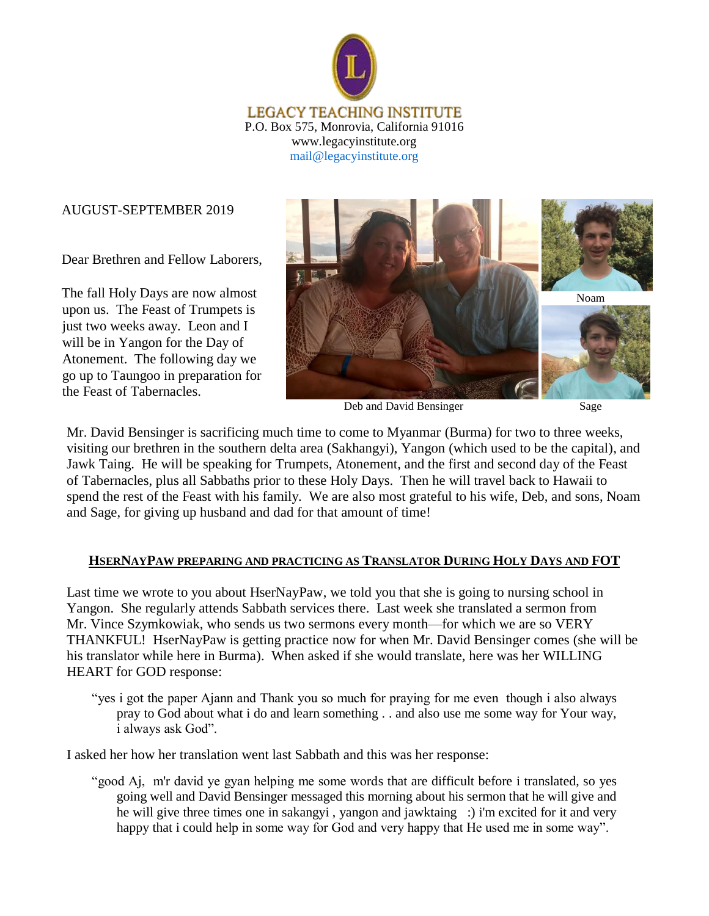

#### AUGUST-SEPTEMBER 2019

Dear Brethren and Fellow Laborers,

The fall Holy Days are now almost upon us. The Feast of Trumpets is just two weeks away. Leon and I will be in Yangon for the Day of Atonement. The following day we go up to Taungoo in preparation for the Feast of Tabernacles.



Deb and David Bensinger

Sage

Mr. David Bensinger is sacrificing much time to come to Myanmar (Burma) for two to three weeks, visiting our brethren in the southern delta area (Sakhangyi), Yangon (which used to be the capital), and Jawk Taing. He will be speaking for Trumpets, Atonement, and the first and second day of the Feast of Tabernacles, plus all Sabbaths prior to these Holy Days. Then he will travel back to Hawaii to spend the rest of the Feast with his family. We are also most grateful to his wife, Deb, and sons, Noam and Sage, for giving up husband and dad for that amount of time!

#### **HSERNAYPAW PREPARING AND PRACTICING AS TRANSLATOR DURING HOLY DAYS AND FOT**

Last time we wrote to you about HserNayPaw, we told you that she is going to nursing school in Yangon. She regularly attends Sabbath services there. Last week she translated a sermon from Mr. Vince Szymkowiak, who sends us two sermons every month—for which we are so VERY THANKFUL! HserNayPaw is getting practice now for when Mr. David Bensinger comes (she will be his translator while here in Burma). When asked if she would translate, here was her WILLING HEART for GOD response:

"yes i got the paper Ajann and Thank you so much for praying for me even though i also always pray to God about what i do and learn something . . and also use me some way for Your way, i always ask God".

I asked her how her translation went last Sabbath and this was her response:

"good Aj, m'r david ye gyan helping me some words that are difficult before i translated, so yes going well and David Bensinger messaged this morning about his sermon that he will give and he will give three times one in sakangyi , yangon and jawktaing :) i'm excited for it and very happy that i could help in some way for God and very happy that He used me in some way".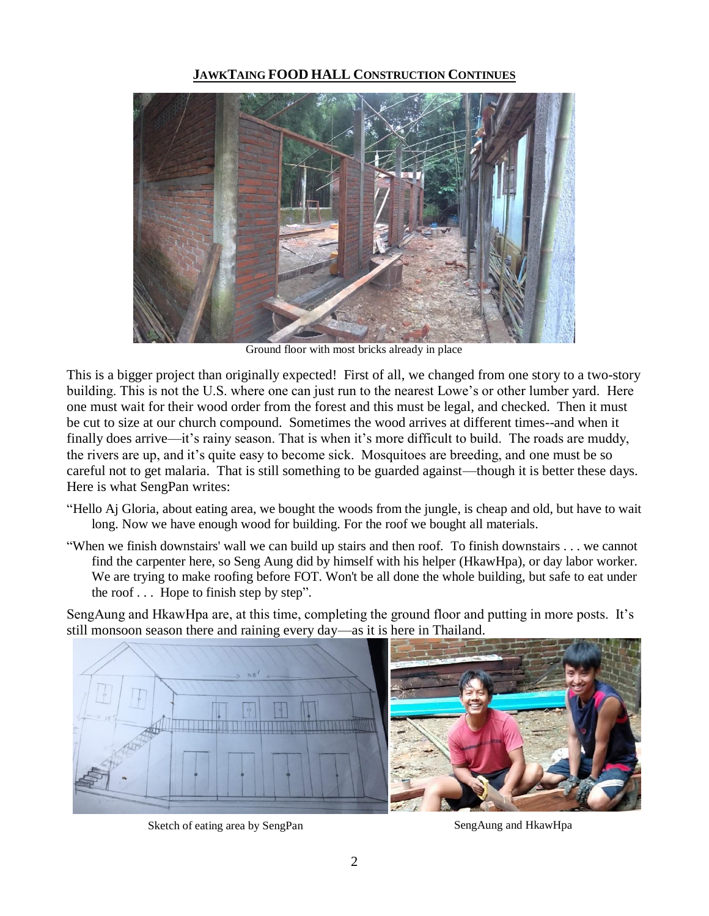## **JAWKTAING FOOD HALL CONSTRUCTION CONTINUES**



Ground floor with most bricks already in place

This is a bigger project than originally expected! First of all, we changed from one story to a two-story building. This is not the U.S. where one can just run to the nearest Lowe's or other lumber yard. Here one must wait for their wood order from the forest and this must be legal, and checked. Then it must be cut to size at our church compound. Sometimes the wood arrives at different times--and when it finally does arrive—it's rainy season. That is when it's more difficult to build. The roads are muddy, the rivers are up, and it's quite easy to become sick. Mosquitoes are breeding, and one must be so careful not to get malaria. That is still something to be guarded against—though it is better these days. Here is what SengPan writes:

- "Hello Aj Gloria, about eating area, we bought the woods from the jungle, is cheap and old, but have to wait long. Now we have enough wood for building. For the roof we bought all materials.
- "When we finish downstairs' wall we can build up stairs and then roof. To finish downstairs . . . we cannot find the carpenter here, so Seng Aung did by himself with his helper (HkawHpa), or day labor worker. We are trying to make roofing before FOT. Won't be all done the whole building, but safe to eat under the roof . . . Hope to finish step by step".

SengAung and HkawHpa are, at this time, completing the ground floor and putting in more posts. It's still monsoon season there and raining every day—as it is here in Thailand.



Sketch of eating area by SengPan SengAung and HkawHpa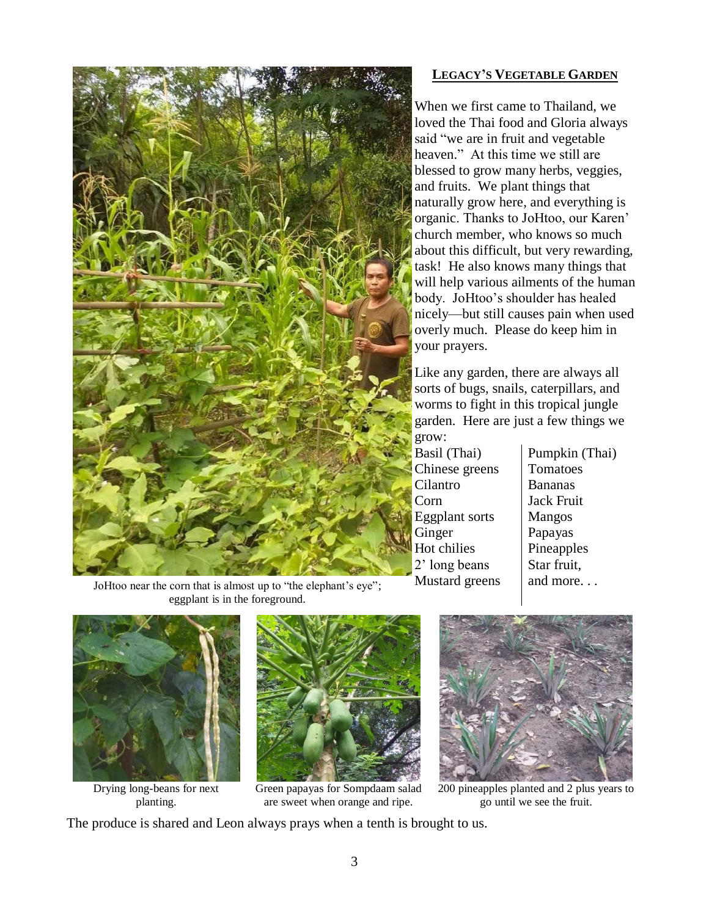

## **LEGACY'S VEGETABLE GARDEN**

When we first came to Thailand, we loved the Thai food and Gloria always said "we are in fruit and vegetable heaven." At this time we still are blessed to grow many herbs, veggies, and fruits. We plant things that naturally grow here, and everything is organic. Thanks to JoHtoo, our Karen' church member, who knows so much about this difficult, but very rewarding, task! He also knows many things that will help various ailments of the human body. JoHtoo's shoulder has healed nicely—but still causes pain when used overly much. Please do keep him in your prayers.

Like any garden, there are always all sorts of bugs, snails, caterpillars, and worms to fight in this tropical jungle garden. Here are just a few things we grow:

Basil (Thai) Chinese greens Cilantro Corn Eggplant sorts Ginger Hot chilies 2' long beans Mustard greens

Pumpkin (Thai) Tomatoes Bananas Jack Fruit Mangos Papayas Pineapples Star fruit, and more. . .

JoHtoo near the corn that is almost up to "the elephant's eye"; eggplant is in the foreground.



Drying long-beans for next planting.



Green papayas for Sompdaam salad are sweet when orange and ripe.



200 pineapples planted and 2 plus years to go until we see the fruit.

The produce is shared and Leon always prays when a tenth is brought to us.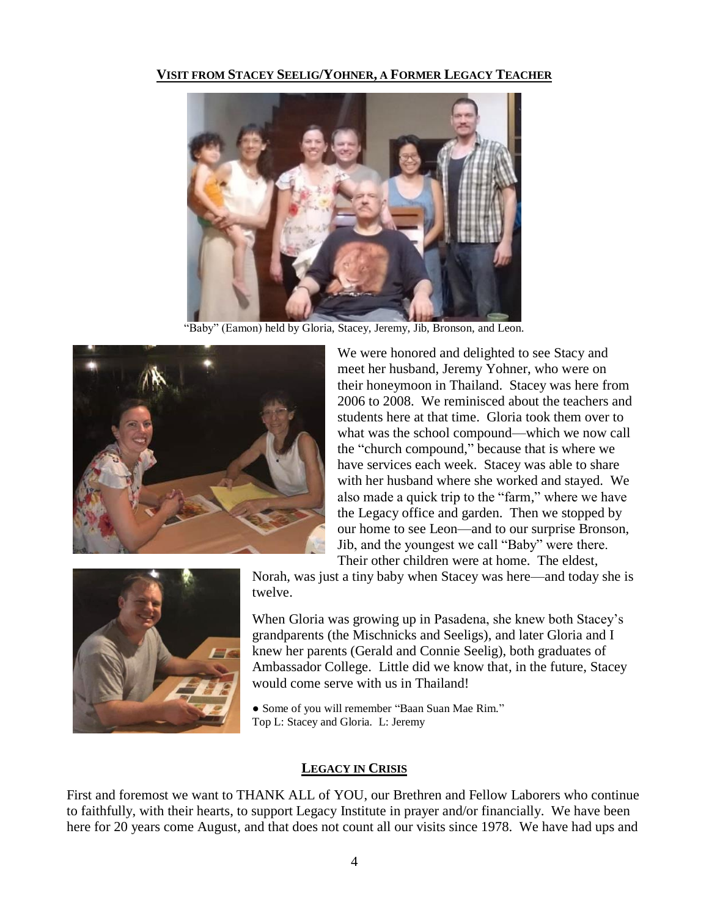## **VISIT FROM STACEY SEELIG/YOHNER, A FORMER LEGACY TEACHER**



"Baby" (Eamon) held by Gloria, Stacey, Jeremy, Jib, Bronson, and Leon.



We were honored and delighted to see Stacy and meet her husband, Jeremy Yohner, who were on their honeymoon in Thailand. Stacey was here from 2006 to 2008. We reminisced about the teachers and students here at that time. Gloria took them over to what was the school compound—which we now call the "church compound," because that is where we have services each week. Stacey was able to share with her husband where she worked and stayed. We also made a quick trip to the "farm," where we have the Legacy office and garden. Then we stopped by our home to see Leon—and to our surprise Bronson, Jib, and the youngest we call "Baby" were there. Their other children were at home. The eldest,



Norah, was just a tiny baby when Stacey was here—and today she is twelve.

When Gloria was growing up in Pasadena, she knew both Stacey's grandparents (the Mischnicks and Seeligs), and later Gloria and I knew her parents (Gerald and Connie Seelig), both graduates of Ambassador College. Little did we know that, in the future, Stacey would come serve with us in Thailand!

• Some of you will remember "Baan Suan Mae Rim." Top L: Stacey and Gloria. L: Jeremy

# **LEGACY IN CRISIS**

First and foremost we want to THANK ALL of YOU, our Brethren and Fellow Laborers who continue to faithfully, with their hearts, to support Legacy Institute in prayer and/or financially. We have been here for 20 years come August, and that does not count all our visits since 1978. We have had ups and